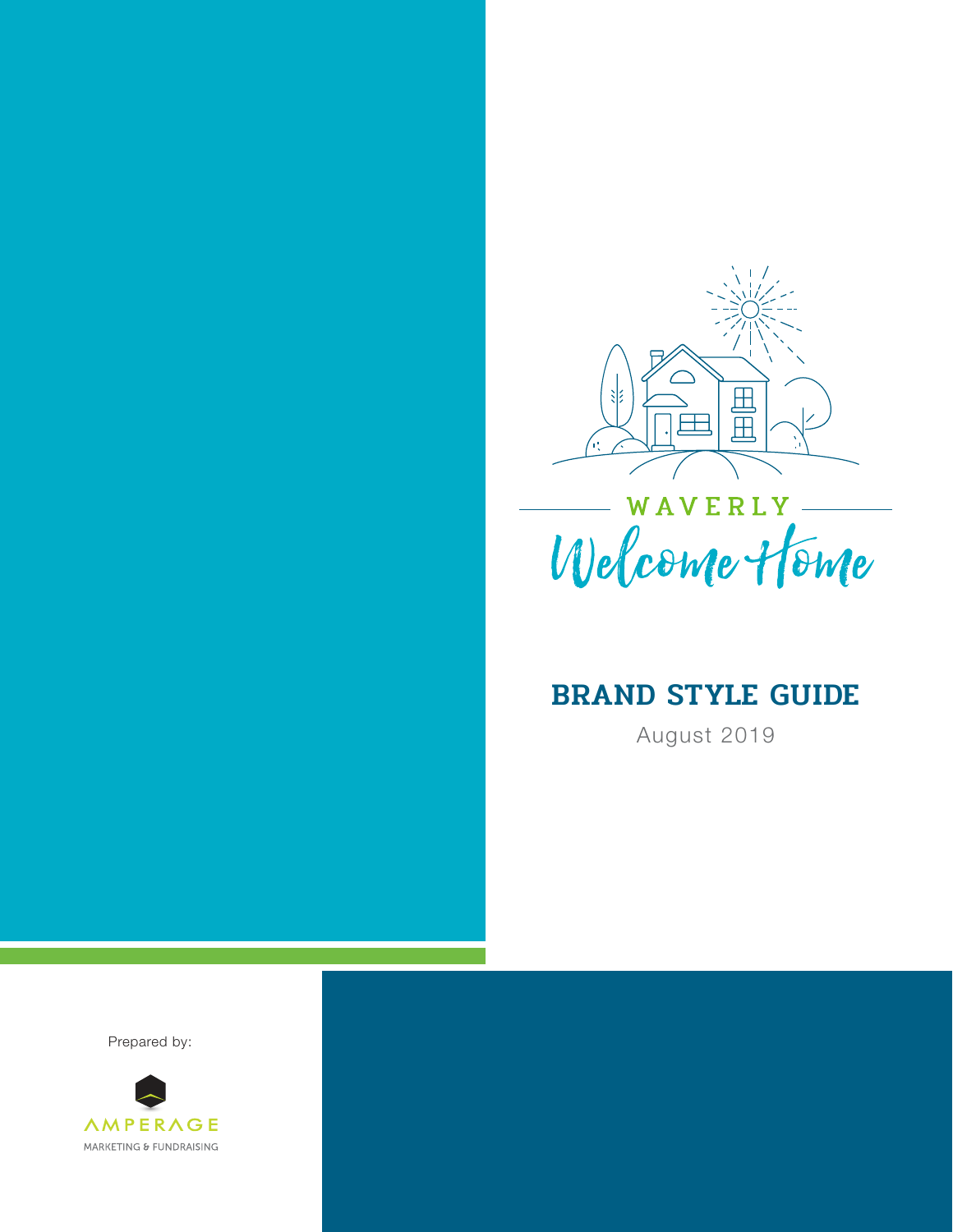

WAVERLY Welcome Home

### BRAND STYLE GUIDE

August 2019

Prepared by:

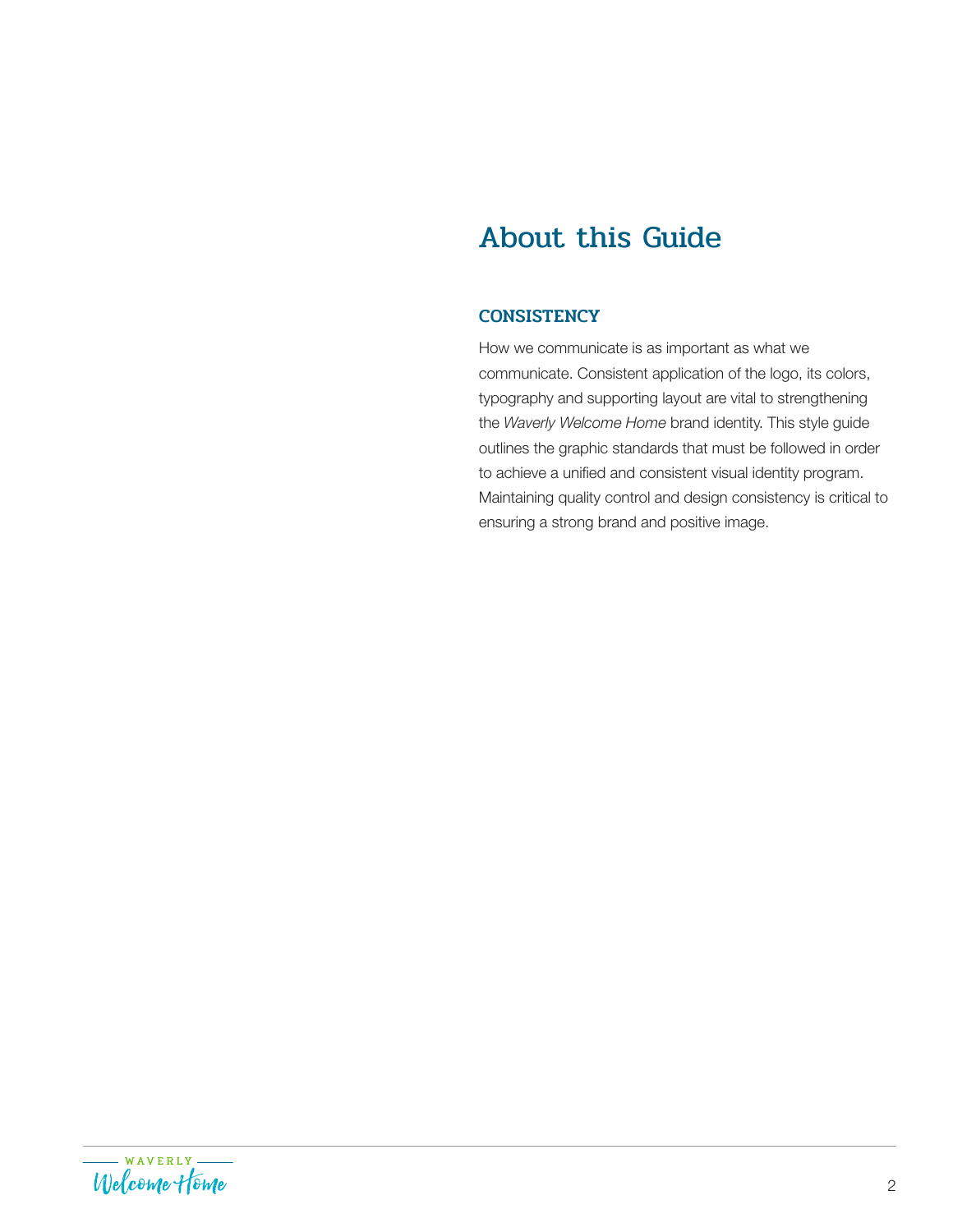### About this Guide

#### **CONSISTENCY**

How we communicate is as important as what we communicate. Consistent application of the logo, its colors, typography and supporting layout are vital to strengthening the Waverly Welcome Home brand identity. This style guide outlines the graphic standards that must be followed in order to achieve a unified and consistent visual identity program. Maintaining quality control and design consistency is critical to ensuring a strong brand and positive image.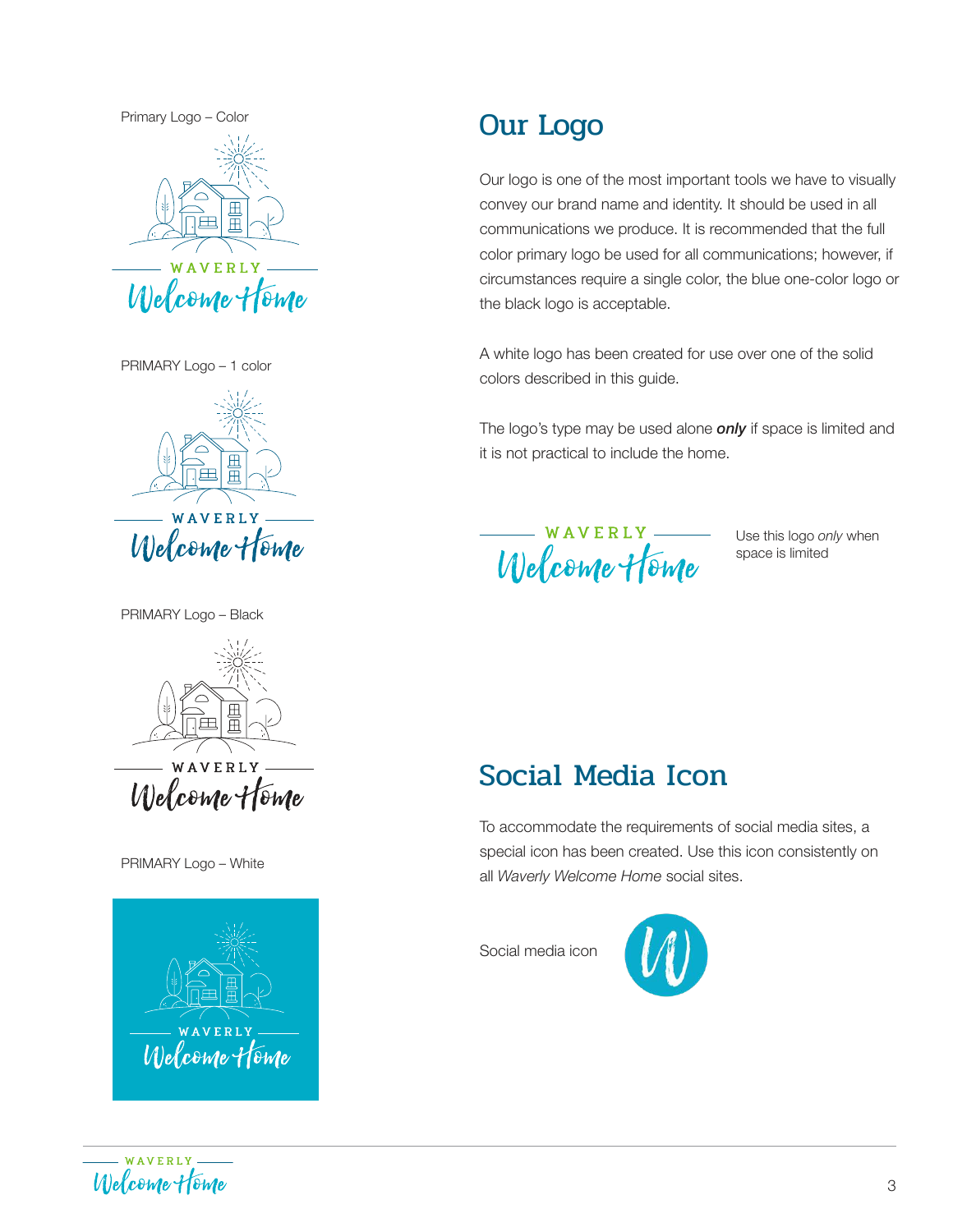

PRIMARY Logo – 1 color



PRIMARY Logo – Black



#### PRIMARY Logo – White



# Our Logo

Our logo is one of the most important tools we have to visually convey our brand name and identity. It should be used in all communications we produce. It is recommended that the full color primary logo be used for all communications; however, if circumstances require a single color, the blue one-color logo or the black logo is acceptable.

A white logo has been created for use over one of the solid colors described in this guide.

The logo's type may be used alone only if space is limited and it is not practical to include the home.

WAVERLY — Welcome Home

 $\overline{a}$ 

Use this logo only when space is limited

### Social Media Icon

To accommodate the requirements of social media sites, a special icon has been created. Use this icon consistently on all Waverly Welcome Home social sites.

Social media icon

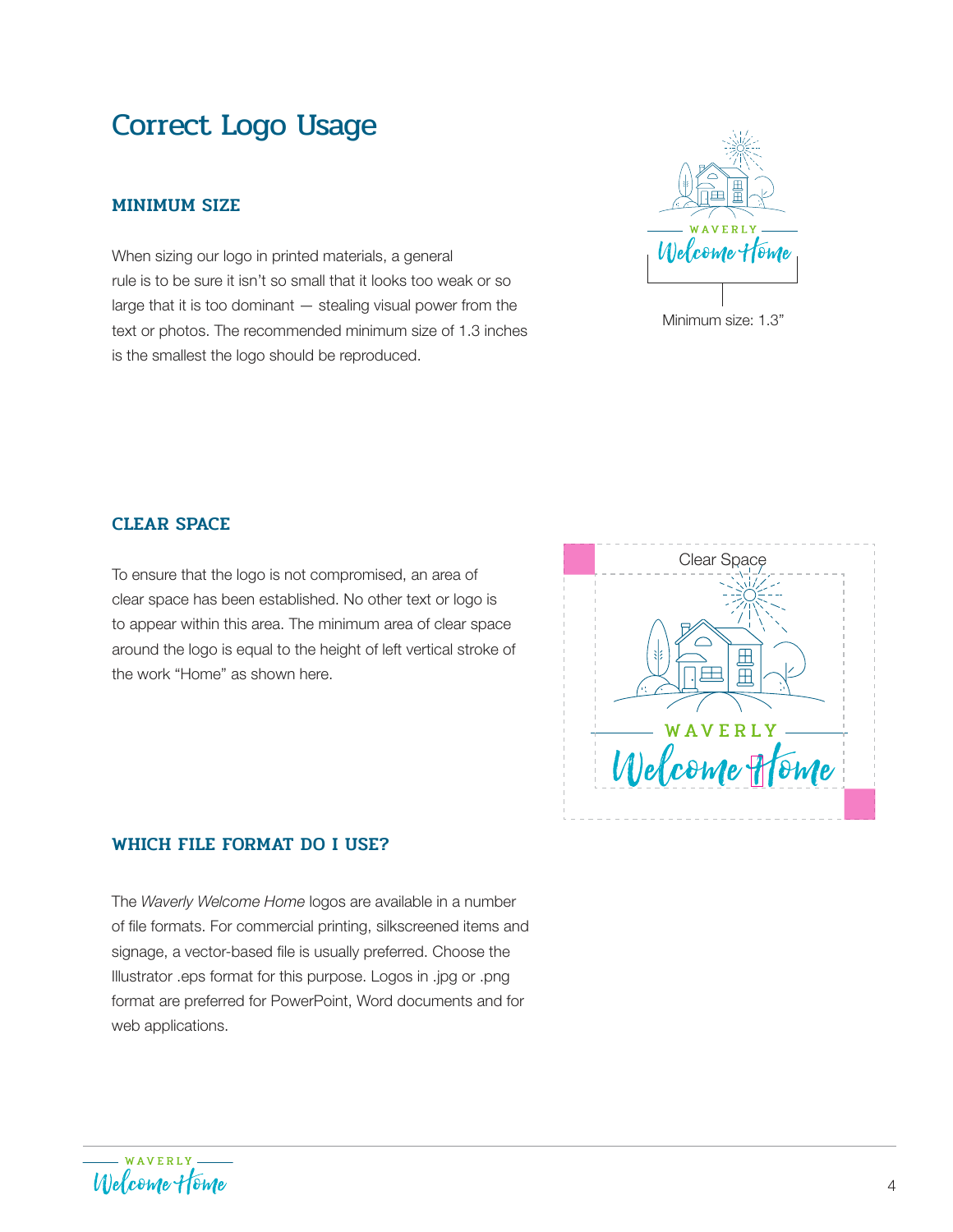### Correct Logo Usage

### MINIMUM SIZE

When sizing our logo in printed materials, a general rule is to be sure it isn't so small that it looks too weak or so large that it is too dominant — stealing visual power from the text or photos. The recommended minimum size of 1.3 inches is the smallest the logo should be reproduced.



#### CLEAR SPACE

To ensure that the logo is not compromised, an area of clear space has been established. No other text or logo is to appear within this area. The minimum area of clear space around the logo is equal to the height of left vertical stroke of the work "Home" as shown here.



#### WHICH FILE FORMAT DO I USE?

The Waverly Welcome Home logos are available in a number of file formats. For commercial printing, silkscreened items and signage, a vector-based file is usually preferred. Choose the Illustrator .eps format for this purpose. Logos in .jpg or .png format are preferred for PowerPoint, Word documents and for web applications.

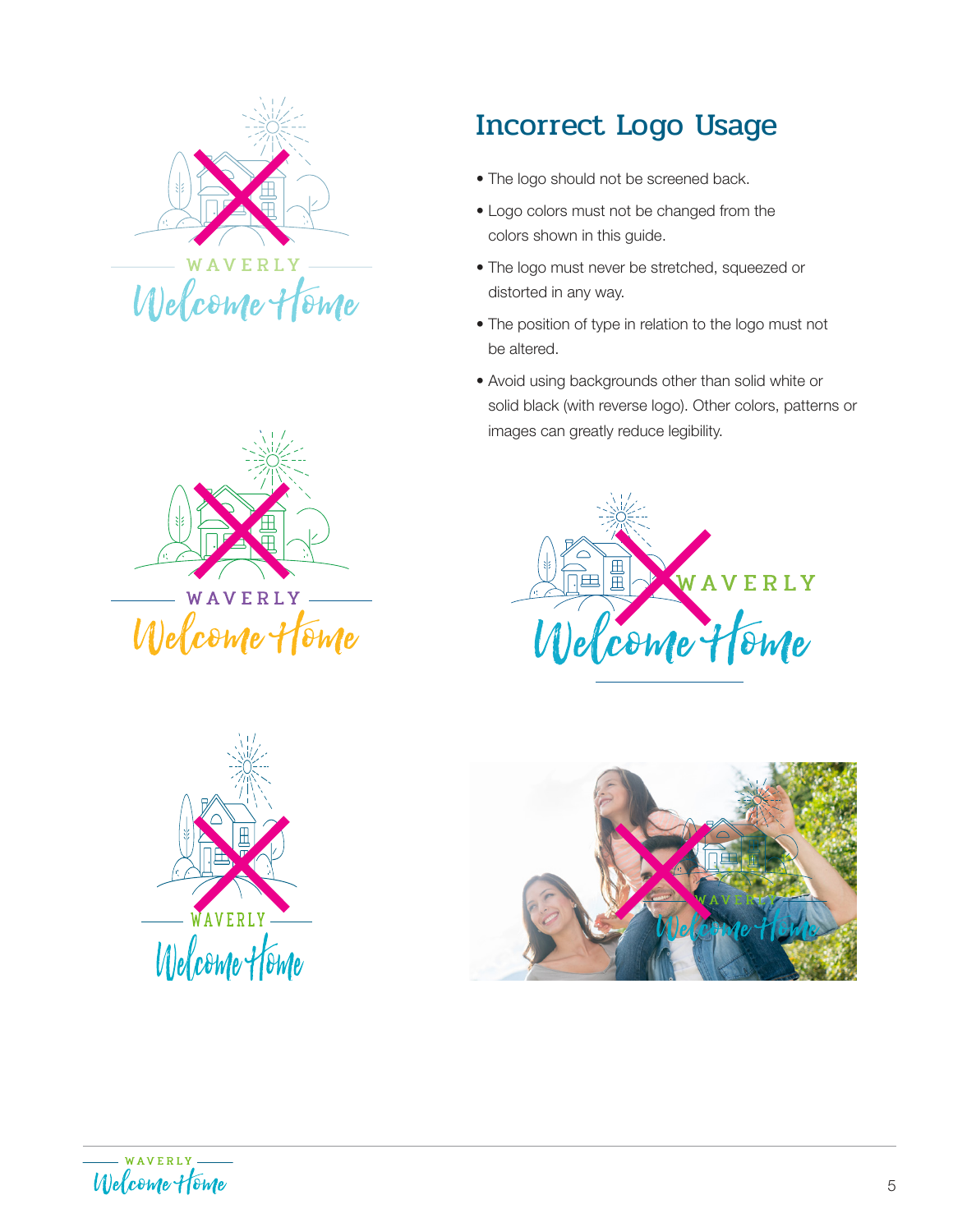



## Incorrect Logo Usage

- The logo should not be screened back.
- Logo colors must not be changed from the colors shown in this guide.
- The logo must never be stretched, squeezed or distorted in any way.
- The position of type in relation to the logo must not be altered.
- Avoid using backgrounds other than solid white or solid black (with reverse logo). Other colors, patterns or images can greatly reduce legibility.





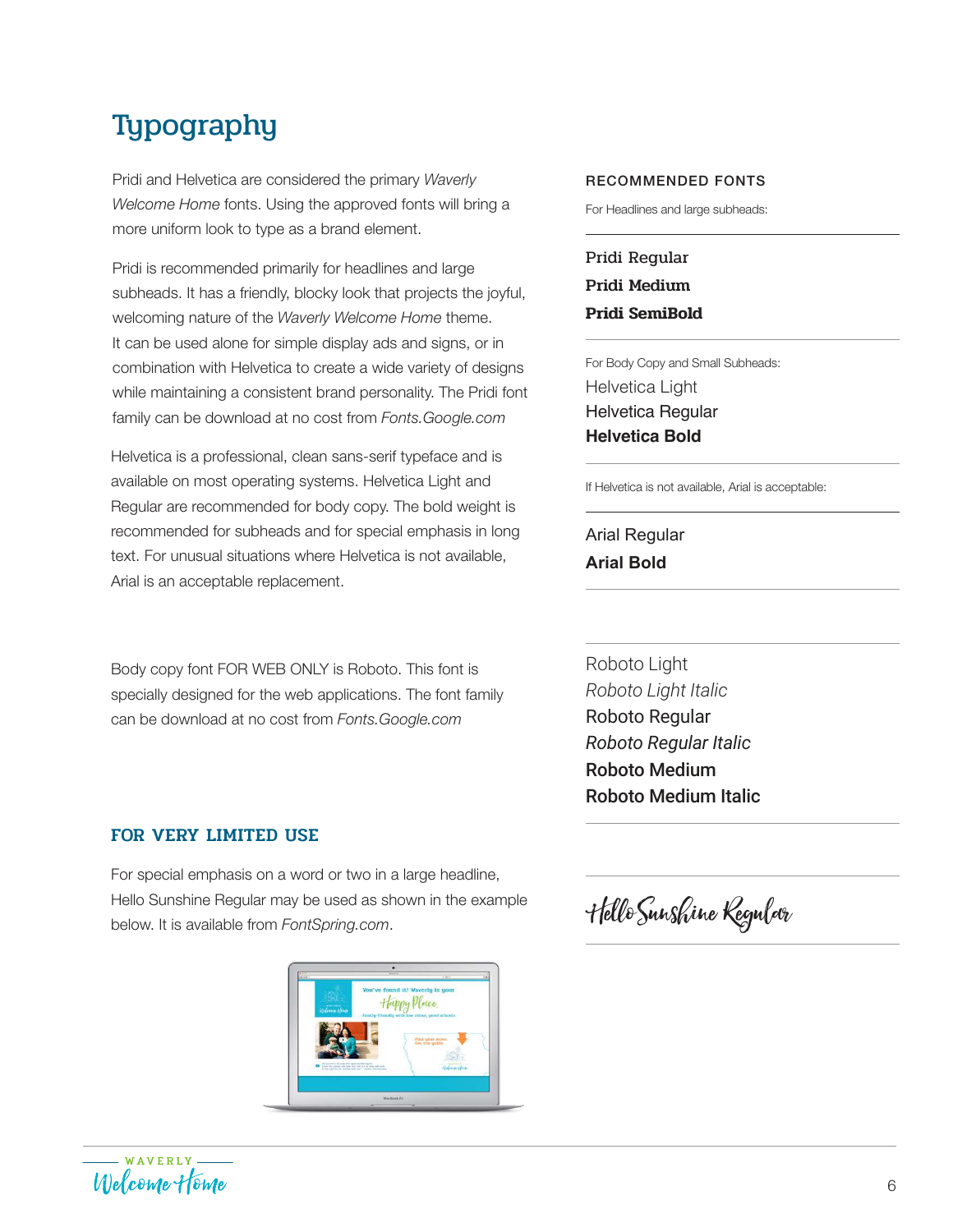## Typography

Pridi and Helvetica are considered the primary Waverly Welcome Home fonts. Using the approved fonts will bring a more uniform look to type as a brand element.

Pridi is recommended primarily for headlines and large subheads. It has a friendly, blocky look that projects the joyful, welcoming nature of the Waverly Welcome Home theme. It can be used alone for simple display ads and signs, or in combination with Helvetica to create a wide variety of designs while maintaining a consistent brand personality. The Pridi font family can be download at no cost from Fonts.Google.com

Helvetica is a professional, clean sans-serif typeface and is available on most operating systems. Helvetica Light and Regular are recommended for body copy. The bold weight is recommended for subheads and for special emphasis in long text. For unusual situations where Helvetica is not available, Arial is an acceptable replacement.

Body copy font FOR WEB ONLY is Roboto. This font is specially designed for the web applications. The font family can be download at no cost from Fonts.Google.com

#### RECOMMENDED FONTS

For Headlines and large subheads:

Pridi Regular Pridi Medium **Pridi SemiBold**

For Body Copy and Small Subheads: Helvetica Light Helvetica Regular **Helvetica Bold**

If Helvetica is not available, Arial is acceptable:

Arial Regular **Arial Bold**

Roboto Light *Roboto Light Italic*  Roboto Regular *Roboto Regular Italic* Roboto Medium Roboto Medium Italic

#### FOR VERY LIMITED USE

For special emphasis on a word or two in a large headline, Hello Sunshine Regular may be used as shown in the example below. It is available from FontSpring.com.



Hello Sunshine Regular